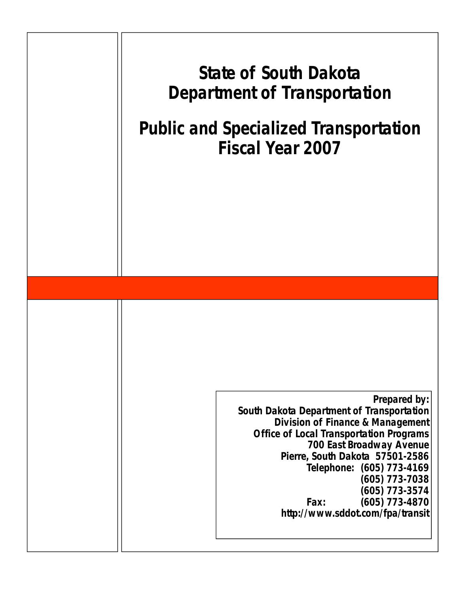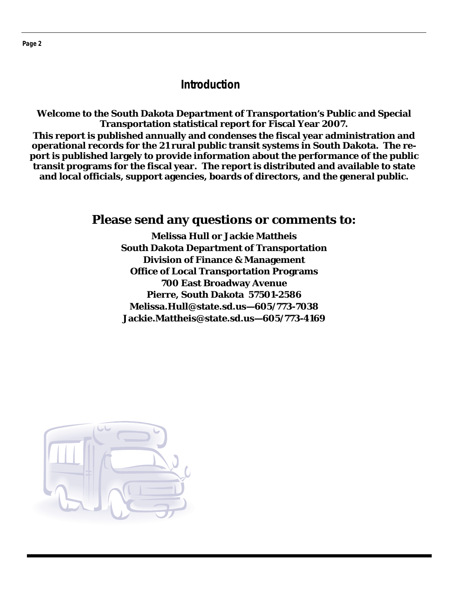## **Introduction**

**Welcome to the South Dakota Department of Transportation's Public and Special Transportation statistical report for Fiscal Year 2007. This report is published annually and condenses the fiscal year administration and operational records for the 21 rural public transit systems in South Dakota. The re-**

**port is published largely to provide information about the performance of the public transit programs for the fiscal year. The report is distributed and available to state and local officials, support agencies, boards of directors, and the general public.** 

## **Please send any questions or comments to:**

**Melissa Hull or Jackie Mattheis South Dakota Department of Transportation Division of Finance & Management Office of Local Transportation Programs 700 East Broadway Avenue Pierre, South Dakota 57501-2586 Melissa.Hull@state.sd.us—605/773-7038 Jackie.Mattheis@state.sd.us—605/773-4169** 

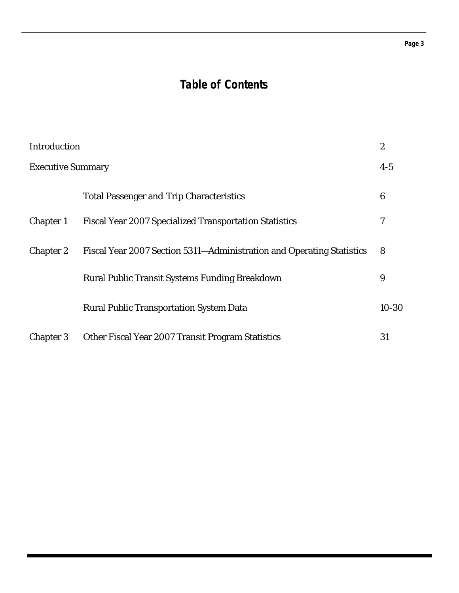#### **Page 3**

## **Table of Contents**

| Introduction             |                                                                       | $\boldsymbol{2}$ |
|--------------------------|-----------------------------------------------------------------------|------------------|
| <b>Executive Summary</b> |                                                                       | $4-5$            |
|                          | <b>Total Passenger and Trip Characteristics</b>                       | 6                |
| <b>Chapter 1</b>         | <b>Fiscal Year 2007 Specialized Transportation Statistics</b>         | 7                |
| <b>Chapter 2</b>         | Fiscal Year 2007 Section 5311-Administration and Operating Statistics | 8                |
|                          | Rural Public Transit Systems Funding Breakdown                        | 9                |
|                          | <b>Rural Public Transportation System Data</b>                        | $10 - 30$        |
| <b>Chapter 3</b>         | Other Fiscal Year 2007 Transit Program Statistics                     | 31               |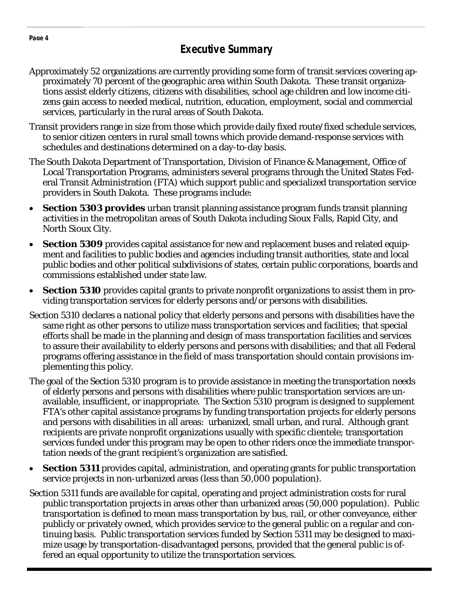## **Executive Summary**

- Approximately 52 organizations are currently providing some form of transit services covering approximately 70 percent of the geographic area within South Dakota. These transit organizations assist elderly citizens, citizens with disabilities, school age children and low income citizens gain access to needed medical, nutrition, education, employment, social and commercial services, particularly in the rural areas of South Dakota.
- Transit providers range in size from those which provide daily fixed route/fixed schedule services, to senior citizen centers in rural small towns which provide demand-response services with schedules and destinations determined on a day-to-day basis.
- The South Dakota Department of Transportation, Division of Finance & Management, Office of Local Transportation Programs, administers several programs through the United States Federal Transit Administration (FTA) which support public and specialized transportation service providers in South Dakota. These programs include:
- **Section 5303 provides** urban transit planning assistance program funds transit planning activities in the metropolitan areas of South Dakota including Sioux Falls, Rapid City, and North Sioux City.
- **Section 5309** provides capital assistance for new and replacement buses and related equipment and facilities to public bodies and agencies including transit authorities, state and local public bodies and other political subdivisions of states, certain public corporations, boards and commissions established under state law.
- **Section 5310** provides capital grants to private nonprofit organizations to assist them in providing transportation services for elderly persons and/or persons with disabilities.
- Section 5310 declares a national policy that elderly persons and persons with disabilities have the same right as other persons to utilize mass transportation services and facilities; that special efforts shall be made in the planning and design of mass transportation facilities and services to assure their availability to elderly persons and persons with disabilities; and that all Federal programs offering assistance in the field of mass transportation should contain provisions implementing this policy.
- The goal of the Section 5310 program is to provide assistance in meeting the transportation needs of elderly persons and persons with disabilities where public transportation services are unavailable, insufficient, or inappropriate. The Section 5310 program is designed to supplement FTA's other capital assistance programs by funding transportation projects for elderly persons and persons with disabilities in all areas: urbanized, small urban, and rural. Although grant recipients are private nonprofit organizations usually with specific clientele; transportation services funded under this program may be open to other riders once the immediate transportation needs of the grant recipient's organization are satisfied.
- **Section 5311** provides capital, administration, and operating grants for public transportation service projects in non-urbanized areas (less than 50,000 population).
- Section 5311 funds are available for capital, operating and project administration costs for rural public transportation projects in areas other than urbanized areas (50,000 population). Public transportation is defined to mean mass transportation by bus, rail, or other conveyance, either publicly or privately owned, which provides service to the general public on a regular and continuing basis. Public transportation services funded by Section 5311 may be designed to maximize usage by transportation-disadvantaged persons, provided that the general public is offered an equal opportunity to utilize the transportation services.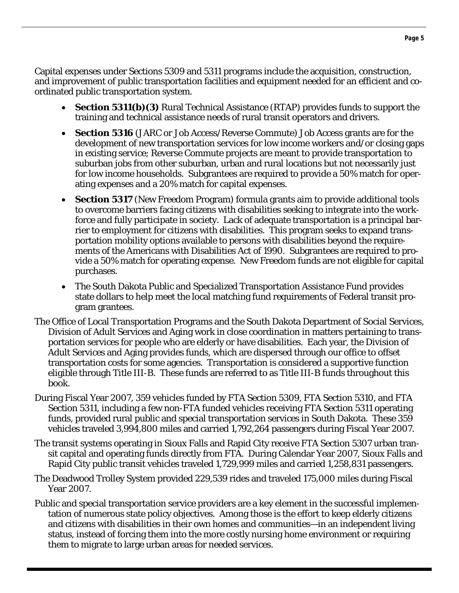Capital expenses under Sections 5309 and 5311 programs include the acquisition, construction, and improvement of public transportation facilities and equipment needed for an efficient and coordinated public transportation system.

- **Section 5311(b)(3)** Rural Technical Assistance (RTAP) provides funds to support the training and technical assistance needs of rural transit operators and drivers.
- **Section 5316** (JARC or Job Access/Reverse Commute) Job Access grants are for the development of new transportation services for low income workers and/or closing gaps in existing service; Reverse Commute projects are meant to provide transportation to suburban jobs from other suburban, urban and rural locations but not necessarily just for low income households. Subgrantees are required to provide a 50% match for operating expenses and a 20% match for capital expenses.
- **Section 5317** (New Freedom Program) formula grants aim to provide additional tools to overcome barriers facing citizens with disabilities seeking to integrate into the workforce and fully participate in society. Lack of adequate transportation is a principal barrier to employment for citizens with disabilities. This program seeks to expand transportation mobility options available to persons with disabilities beyond the requirements of the Americans with Disabilities Act of 1990. Subgrantees are required to provide a 50% match for operating expense. New Freedom funds are not eligible for capital purchases.
- The South Dakota Public and Specialized Transportation Assistance Fund provides state dollars to help meet the local matching fund requirements of Federal transit program grantees.
- The Office of Local Transportation Programs and the South Dakota Department of Social Services, Division of Adult Services and Aging work in close coordination in matters pertaining to transportation services for people who are elderly or have disabilities. Each year, the Division of Adult Services and Aging provides funds, which are dispersed through our office to offset transportation costs for some agencies. Transportation is considered a supportive function eligible through Title III-B. These funds are referred to as Title III-B funds throughout this book.
- During Fiscal Year 2007, 359 vehicles funded by FTA Section 5309, FTA Section 5310, and FTA Section 5311, including a few non-FTA funded vehicles receiving FTA Section 5311 operating funds, provided rural public and special transportation services in South Dakota. These 359 vehicles traveled 3,994,800 miles and carried 1,792,264 passengers during Fiscal Year 2007.
- The transit systems operating in Sioux Falls and Rapid City receive FTA Section 5307 urban transit capital and operating funds directly from FTA. During Calendar Year 2007, Sioux Falls and Rapid City public transit vehicles traveled 1,729,999 miles and carried 1,258,831 passengers.
- The Deadwood Trolley System provided 229,539 rides and traveled 175,000 miles during Fiscal Year 2007.
- Public and special transportation service providers are a key element in the successful implementation of numerous state policy objectives. Among those is the effort to keep elderly citizens and citizens with disabilities in their own homes and communities—in an independent living status, instead of forcing them into the more costly nursing home environment or requiring them to migrate to large urban areas for needed services.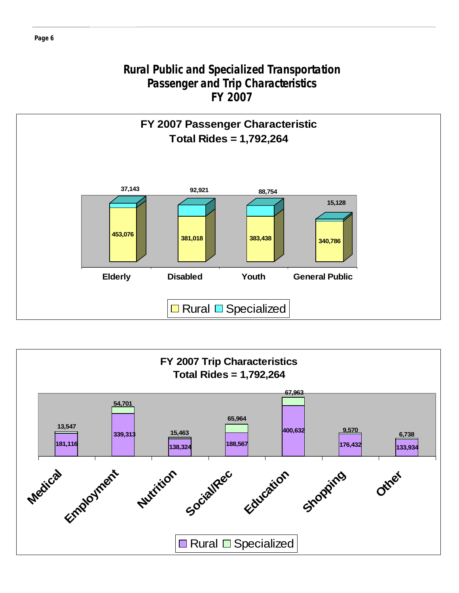## **Rural Public and Specialized Transportation Passenger and Trip Characteristics FY 2007**



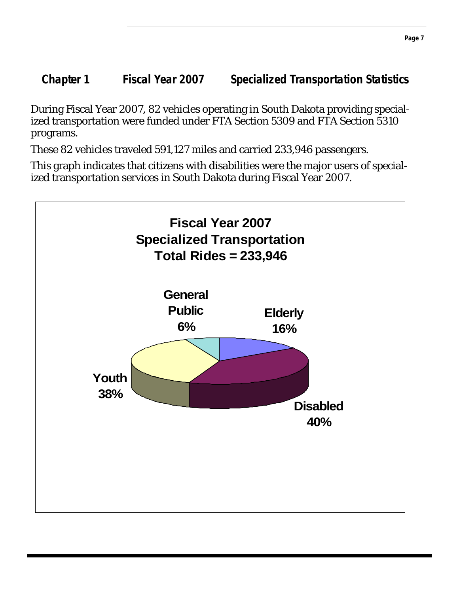**Chapter 1 Fiscal Year 2007 Specialized Transportation Statistics** 

During Fiscal Year 2007, 82 vehicles operating in South Dakota providing specialized transportation were funded under FTA Section 5309 and FTA Section 5310 programs.

These 82 vehicles traveled 591,127 miles and carried 233,946 passengers.

This graph indicates that citizens with disabilities were the major users of specialized transportation services in South Dakota during Fiscal Year 2007.

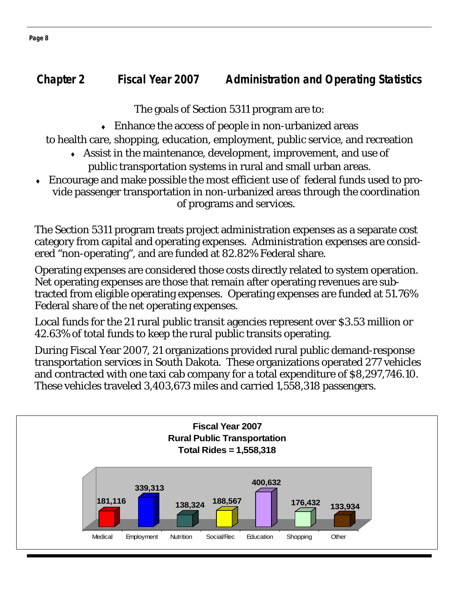## **Chapter 2 Fiscal Year 2007 Administration and Operating Statistics**

The goals of Section 5311 program are to:

 $\bullet$  Enhance the access of people in non-urbanized areas

to health care, shopping, education, employment, public service, and recreation

- ♦ Assist in the maintenance, development, improvement, and use of public transportation systems in rural and small urban areas.
- Encourage and make possible the most efficient use of federal funds used to provide passenger transportation in non-urbanized areas through the coordination of programs and services.

The Section 5311 program treats project administration expenses as a separate cost category from capital and operating expenses. Administration expenses are considered "non-operating", and are funded at 82.82% Federal share.

Operating expenses are considered those costs directly related to system operation. Net operating expenses are those that remain after operating revenues are subtracted from eligible operating expenses. Operating expenses are funded at 51.76% Federal share of the net operating expenses.

Local funds for the 21 rural public transit agencies represent over \$3.53 million or 42.63% of total funds to keep the rural public transits operating.

During Fiscal Year 2007, 21 organizations provided rural public demand-response transportation services in South Dakota. These organizations operated 277 vehicles and contracted with one taxi cab company for a total expenditure of \$8,297,746.10. These vehicles traveled 3,403,673 miles and carried 1,558,318 passengers.



**Page 8**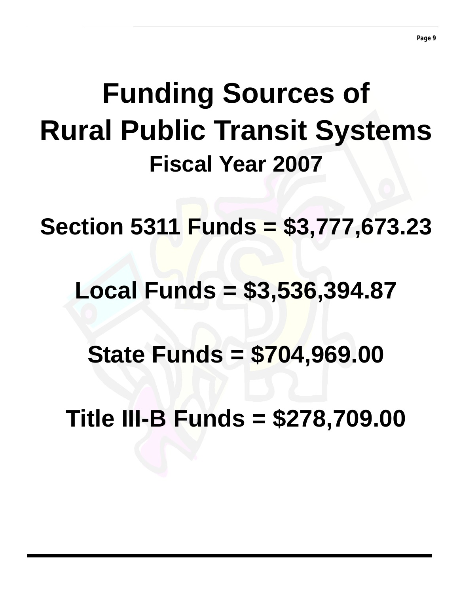# **Funding Sources of Rural Public Transit Systems Fiscal Year 2007**

**Section 5311 Funds = \$3,777,673.23** 

## **Local Funds = \$3,536,394.87**

**State Funds = \$704,969.00** 

**Title III-B Funds = \$278,709.00**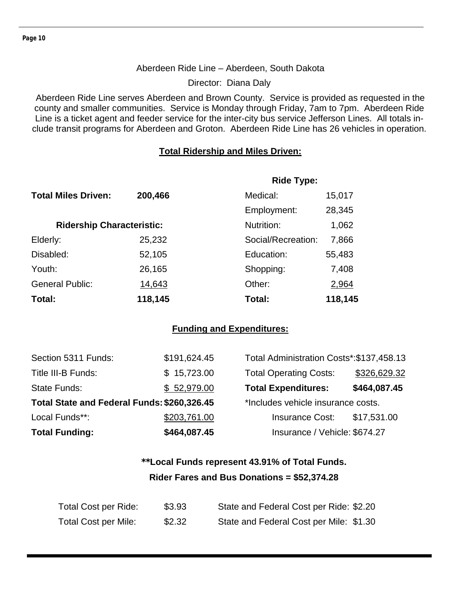#### Aberdeen Ride Line – Aberdeen, South Dakota

Director: Diana Daly

Aberdeen Ride Line serves Aberdeen and Brown County. Service is provided as requested in the county and smaller communities. Service is Monday through Friday, 7am to 7pm. Aberdeen Ride Line is a ticket agent and feeder service for the inter-city bus service Jefferson Lines. All totals include transit programs for Aberdeen and Groton. Aberdeen Ride Line has 26 vehicles in operation.

#### **Total Ridership and Miles Driven:**

|                                  |         | <b>Ride Type:</b>  |         |
|----------------------------------|---------|--------------------|---------|
| <b>Total Miles Driven:</b>       | 200,466 | Medical:           | 15,017  |
|                                  |         | Employment:        | 28,345  |
| <b>Ridership Characteristic:</b> |         | Nutrition:         | 1,062   |
| Elderly:                         | 25,232  | Social/Recreation: | 7,866   |
| Disabled:                        | 52,105  | Education:         | 55,483  |
| Youth:                           | 26,165  | Shopping:          | 7,408   |
| <b>General Public:</b>           | 14,643  | Other:             | 2,964   |
| Total:                           | 118,145 | Total:             | 118,145 |

#### **Funding and Expenditures:**

| Section 5311 Funds:                         | \$191,624.45 | Total Administration Costs*: \$137,458.13 |              |
|---------------------------------------------|--------------|-------------------------------------------|--------------|
| Title III-B Funds:                          | \$15,723.00  | <b>Total Operating Costs:</b>             | \$326,629.32 |
| State Funds:                                | \$52,979.00  | <b>Total Expenditures:</b>                | \$464,087.45 |
| Total State and Federal Funds: \$260,326.45 |              | *Includes vehicle insurance costs.        |              |
| Local Funds**:                              | \$203,761.00 | <b>Insurance Cost:</b>                    | \$17,531.00  |
| <b>Total Funding:</b>                       | \$464,087.45 | Insurance / Vehicle: \$674.27             |              |

## **\*\*Local Funds represent 43.91% of Total Funds. Rider Fares and Bus Donations = \$52,374.28**

| <b>Total Cost per Ride:</b> | \$3.93 | State and Federal Cost per Ride: \$2.20 |
|-----------------------------|--------|-----------------------------------------|
| Total Cost per Mile:        | \$2.32 | State and Federal Cost per Mile: \$1.30 |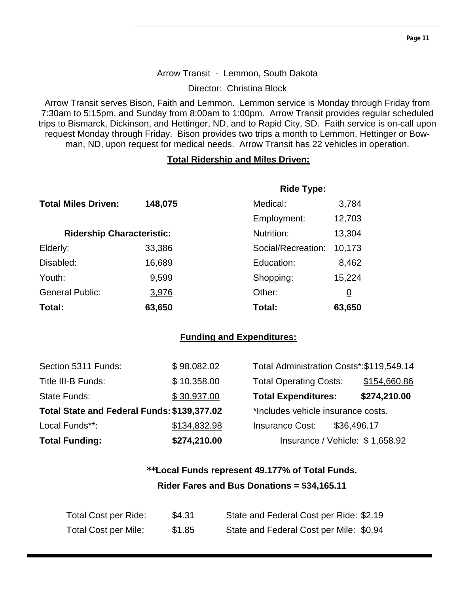#### Arrow Transit - Lemmon, South Dakota

Director: Christina Block

Arrow Transit serves Bison, Faith and Lemmon. Lemmon service is Monday through Friday from 7:30am to 5:15pm, and Sunday from 8:00am to 1:00pm. Arrow Transit provides regular scheduled trips to Bismarck, Dickinson, and Hettinger, ND, and to Rapid City, SD. Faith service is on-call upon request Monday through Friday. Bison provides two trips a month to Lemmon, Hettinger or Bowman, ND, upon request for medical needs. Arrow Transit has 22 vehicles in operation.

#### **Total Ridership and Miles Driven:**

|                                  |         | <b>Ride Type:</b>  |                |
|----------------------------------|---------|--------------------|----------------|
| <b>Total Miles Driven:</b>       | 148,075 | Medical:           | 3,784          |
|                                  |         | Employment:        | 12,703         |
| <b>Ridership Characteristic:</b> |         | Nutrition:         | 13,304         |
| Elderly:                         | 33,386  | Social/Recreation: | 10,173         |
| Disabled:                        | 16,689  | Education:         | 8,462          |
| Youth:                           | 9,599   | Shopping:          | 15,224         |
| <b>General Public:</b>           | 3,976   | Other:             | $\overline{0}$ |
| Total:                           | 63,650  | Total:             | 63,650         |

#### **Funding and Expenditures:**

| <b>Total Funding:</b>                       | \$274,210.00 | Insurance / Vehicle: \$1,658.92           |              |
|---------------------------------------------|--------------|-------------------------------------------|--------------|
| Local Funds**:                              | \$134,832.98 | <b>Insurance Cost:</b>                    | \$36,496.17  |
| Total State and Federal Funds: \$139,377.02 |              | *Includes vehicle insurance costs.        |              |
| State Funds:                                | \$30,937.00  | <b>Total Expenditures:</b>                | \$274,210.00 |
| Title III-B Funds:                          | \$10,358.00  | <b>Total Operating Costs:</b>             | \$154,660.86 |
| Section 5311 Funds:                         | \$98,082.02  | Total Administration Costs*: \$119,549.14 |              |

## **\*\*Local Funds represent 49.177% of Total Funds. Rider Fares and Bus Donations = \$34,165.11**

| Total Cost per Ride:        | \$4.31 | State and Federal Cost per Ride: \$2.19 |
|-----------------------------|--------|-----------------------------------------|
| <b>Total Cost per Mile:</b> | \$1.85 | State and Federal Cost per Mile: \$0.94 |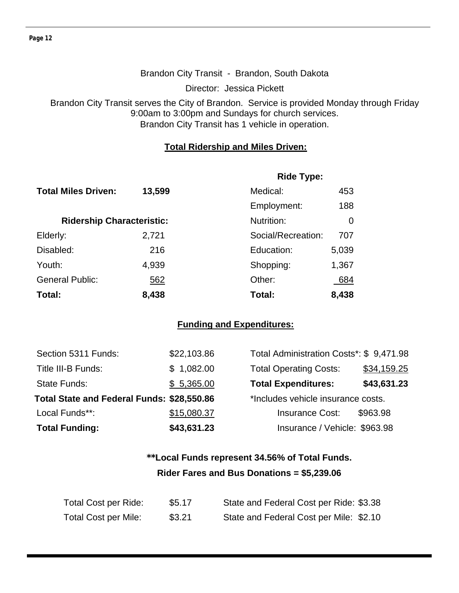#### Brandon City Transit - Brandon, South Dakota

Director: Jessica Pickett

Brandon City Transit serves the City of Brandon. Service is provided Monday through Friday 9:00am to 3:00pm and Sundays for church services. Brandon City Transit has 1 vehicle in operation.

#### **Total Ridership and Miles Driven:**

|                                  |            | <b>Ride Type:</b>  |       |  |
|----------------------------------|------------|--------------------|-------|--|
| <b>Total Miles Driven:</b>       | 13,599     | Medical:           | 453   |  |
|                                  |            | Employment:        | 188   |  |
| <b>Ridership Characteristic:</b> |            | Nutrition:         | 0     |  |
| Elderly:                         | 2,721      | Social/Recreation: | 707   |  |
| Disabled:                        | 216        | Education:         | 5,039 |  |
| Youth:                           | 4,939      | Shopping:          | 1,367 |  |
| <b>General Public:</b>           | <u>562</u> | Other:             | 684   |  |
| Total:                           | 8,438      | Total:             | 8,438 |  |

#### **Funding and Expenditures:**

| Section 5311 Funds:                        | \$22,103.86                        | Total Administration Costs*: \$9,471.98 |             |
|--------------------------------------------|------------------------------------|-----------------------------------------|-------------|
| Title III-B Funds:                         | \$1,082.00                         | <b>Total Operating Costs:</b>           | \$34,159.25 |
| <b>State Funds:</b>                        | \$5,365.00                         | <b>Total Expenditures:</b>              | \$43,631.23 |
| Total State and Federal Funds: \$28,550.86 | *Includes vehicle insurance costs. |                                         |             |
| Local Funds**:                             | \$15,080.37                        | <b>Insurance Cost:</b>                  | \$963.98    |
| <b>Total Funding:</b>                      | \$43,631.23                        | Insurance / Vehicle: \$963.98           |             |

## **\*\*Local Funds represent 34.56% of Total Funds. Rider Fares and Bus Donations = \$5,239.06**

| Total Cost per Ride:        | \$5.17 | State and Federal Cost per Ride: \$3.38 |
|-----------------------------|--------|-----------------------------------------|
| <b>Total Cost per Mile:</b> | \$3.21 | State and Federal Cost per Mile: \$2.10 |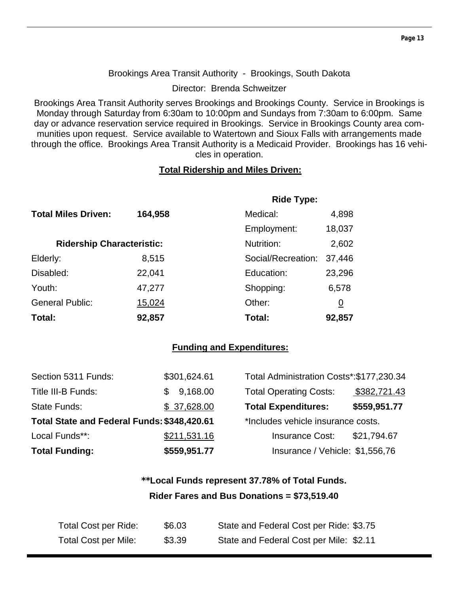#### Brookings Area Transit Authority - Brookings, South Dakota

Director: Brenda Schweitzer

Brookings Area Transit Authority serves Brookings and Brookings County. Service in Brookings is Monday through Saturday from 6:30am to 10:00pm and Sundays from 7:30am to 6:00pm. Same day or advance reservation service required in Brookings. Service in Brookings County area communities upon request. Service available to Watertown and Sioux Falls with arrangements made through the office. Brookings Area Transit Authority is a Medicaid Provider. Brookings has 16 vehicles in operation.

#### **Total Ridership and Miles Driven:**

|                                  |         | <b>Ride Type:</b>  |                 |
|----------------------------------|---------|--------------------|-----------------|
| <b>Total Miles Driven:</b>       | 164,958 | Medical:           | 4,898           |
|                                  |         | Employment:        | 18,037          |
| <b>Ridership Characteristic:</b> |         | Nutrition:         | 2,602           |
| Elderly:                         | 8,515   | Social/Recreation: | 37,446          |
| Disabled:                        | 22,041  | Education:         | 23,296          |
| Youth:                           | 47,277  | Shopping:          | 6,578           |
| <b>General Public:</b>           | 15,024  | Other:             | $\underline{0}$ |
| Total:                           | 92,857  | Total:             | 92,857          |

#### **Funding and Expenditures:**

| Section 5311 Funds:                         | \$301,624.61 | Total Administration Costs*: \$177,230.34 |              |
|---------------------------------------------|--------------|-------------------------------------------|--------------|
| Title III-B Funds:                          | 9,168.00     | <b>Total Operating Costs:</b>             | \$382,721.43 |
| State Funds:                                | \$37,628.00  | <b>Total Expenditures:</b>                | \$559,951.77 |
| Total State and Federal Funds: \$348,420.61 |              | *Includes vehicle insurance costs.        |              |
| Local Funds**:                              | \$211,531.16 | <b>Insurance Cost:</b>                    | \$21,794.67  |
| <b>Total Funding:</b>                       | \$559,951.77 | Insurance / Vehicle: \$1,556,76           |              |

## **\*\*Local Funds represent 37.78% of Total Funds. Rider Fares and Bus Donations = \$73,519.40**

| Total Cost per Ride: | \$6.03 | State and Federal Cost per Ride: \$3.75 |
|----------------------|--------|-----------------------------------------|
| Total Cost per Mile: | \$3.39 | State and Federal Cost per Mile: \$2.11 |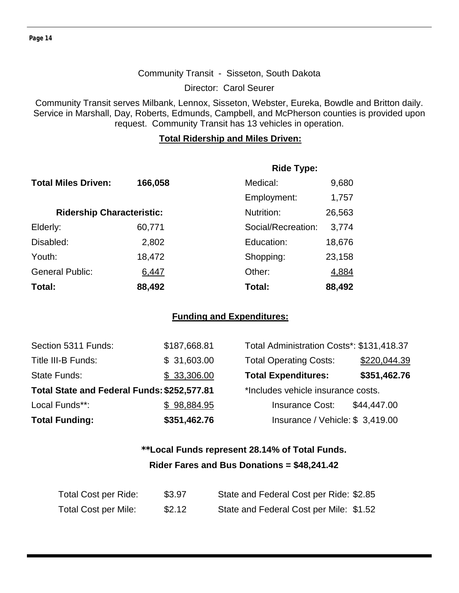Director: Carol Seurer

Community Transit serves Milbank, Lennox, Sisseton, Webster, Eureka, Bowdle and Britton daily. Service in Marshall, Day, Roberts, Edmunds, Campbell, and McPherson counties is provided upon request. Community Transit has 13 vehicles in operation.

#### **Total Ridership and Miles Driven:**

|                                  |         | <b>Ride Type:</b>  |        |
|----------------------------------|---------|--------------------|--------|
| <b>Total Miles Driven:</b>       | 166,058 | Medical:           | 9,680  |
|                                  |         | Employment:        | 1,757  |
| <b>Ridership Characteristic:</b> |         | Nutrition:         | 26,563 |
| Elderly:                         | 60,771  | Social/Recreation: | 3,774  |
| Disabled:                        | 2,802   | Education:         | 18,676 |
| Youth:                           | 18,472  | Shopping:          | 23,158 |
| <b>General Public:</b>           | 6,447   | Other:             | 4,884  |
| Total:                           | 88,492  | Total:             | 88,492 |

#### **Funding and Expenditures:**

| Section 5311 Funds:                         | \$187,668.81 | Total Administration Costs*: \$131,418.37 |              |
|---------------------------------------------|--------------|-------------------------------------------|--------------|
| Title III-B Funds:                          | \$31,603.00  | <b>Total Operating Costs:</b>             | \$220,044.39 |
| State Funds:                                | \$33,306.00  | <b>Total Expenditures:</b>                | \$351,462.76 |
| Total State and Federal Funds: \$252,577.81 |              | *Includes vehicle insurance costs.        |              |
| Local Funds**:                              | \$98,884.95  | <b>Insurance Cost:</b>                    | \$44,447.00  |
| <b>Total Funding:</b>                       | \$351,462.76 | Insurance / Vehicle: \$3,419.00           |              |

## **\*\*Local Funds represent 28.14% of Total Funds. Rider Fares and Bus Donations = \$48,241.42**

| Total Cost per Ride:        | \$3.97 | State and Federal Cost per Ride: \$2.85 |
|-----------------------------|--------|-----------------------------------------|
| <b>Total Cost per Mile:</b> | \$2.12 | State and Federal Cost per Mile: \$1.52 |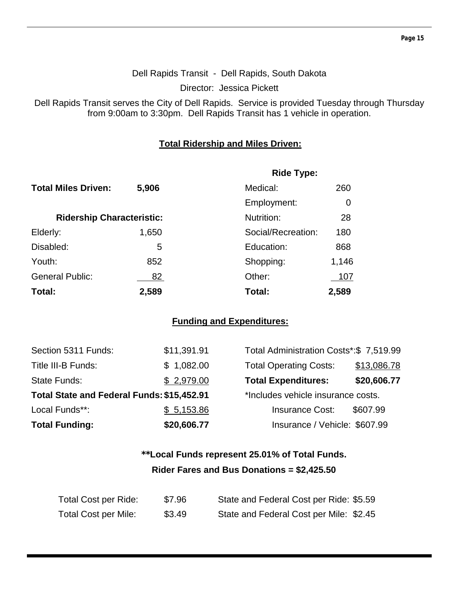#### Dell Rapids Transit - Dell Rapids, South Dakota

Director: Jessica Pickett

Dell Rapids Transit serves the City of Dell Rapids. Service is provided Tuesday through Thursday from 9:00am to 3:30pm. Dell Rapids Transit has 1 vehicle in operation.

#### **Total Ridership and Miles Driven:**

|                                  |       | <b>Ride Type:</b>  |       |
|----------------------------------|-------|--------------------|-------|
| <b>Total Miles Driven:</b>       | 5,906 | Medical:           | 260   |
|                                  |       | Employment:        | 0     |
| <b>Ridership Characteristic:</b> |       | Nutrition:         | 28    |
| Elderly:                         | 1,650 | Social/Recreation: | 180   |
| Disabled:                        | 5     | Education:         | 868   |
| Youth:                           | 852   | Shopping:          | 1,146 |
| <b>General Public:</b>           | 82    | Other:             | 107   |
| Total:                           | 2,589 | Total:             | 2,589 |

#### **Funding and Expenditures:**

| <b>Total Funding:</b>                      | \$20,606.77 | Insurance / Vehicle: \$607.99           |             |
|--------------------------------------------|-------------|-----------------------------------------|-------------|
| Local Funds**:                             | \$5,153.86  | <b>Insurance Cost:</b>                  | \$607.99    |
| Total State and Federal Funds: \$15,452.91 |             | *Includes vehicle insurance costs.      |             |
| <b>State Funds:</b>                        | \$2,979.00  | <b>Total Expenditures:</b>              | \$20,606.77 |
| Title III-B Funds:                         | \$1,082.00  | <b>Total Operating Costs:</b>           | \$13,086.78 |
| Section 5311 Funds:                        | \$11,391.91 | Total Administration Costs*:\$ 7,519.99 |             |

| Total Administration Costs*:\$ 7,519.99 |             |
|-----------------------------------------|-------------|
| <b>Total Operating Costs:</b>           | \$13,086.78 |
| <b>Total Expenditures:</b>              | \$20,606.77 |
| *Includes vehicle insurance costs.      |             |
| <b>Insurance Cost:</b>                  | \$607.99    |
| Insurance / Vehicle: \$607.99           |             |

## **\*\*Local Funds represent 25.01% of Total Funds. Rider Fares and Bus Donations = \$2,425.50**

| Total Cost per Ride:        | \$7.96 | State and Federal Cost per Ride: \$5.59 |
|-----------------------------|--------|-----------------------------------------|
| <b>Total Cost per Mile:</b> | \$3.49 | State and Federal Cost per Mile: \$2.45 |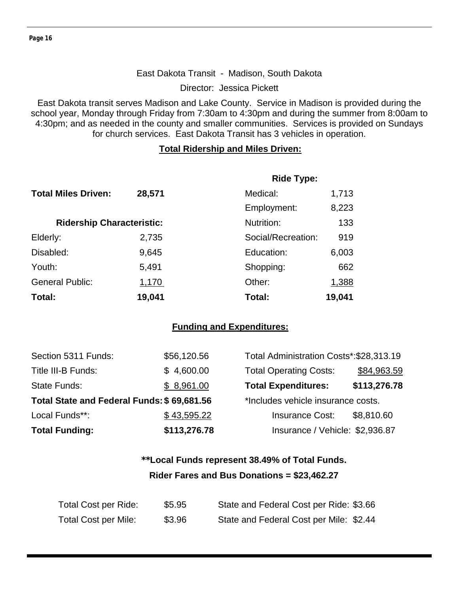#### East Dakota Transit - Madison, South Dakota

Director: Jessica Pickett

East Dakota transit serves Madison and Lake County. Service in Madison is provided during the school year, Monday through Friday from 7:30am to 4:30pm and during the summer from 8:00am to 4:30pm; and as needed in the county and smaller communities. Services is provided on Sundays for church services. East Dakota Transit has 3 vehicles in operation.

#### **Total Ridership and Miles Driven:**

|                                  |        | <b>Ride Type:</b>  |        |
|----------------------------------|--------|--------------------|--------|
| <b>Total Miles Driven:</b>       | 28,571 | Medical:           | 1,713  |
|                                  |        | Employment:        | 8,223  |
| <b>Ridership Characteristic:</b> |        | Nutrition:         | 133    |
| Elderly:                         | 2,735  | Social/Recreation: | 919    |
| Disabled:                        | 9,645  | Education:         | 6,003  |
| Youth:                           | 5,491  | Shopping:          | 662    |
| <b>General Public:</b>           | 1,170  | Other:             | 1,388  |
| Total:                           | 19,041 | Total:             | 19,041 |

#### **Funding and Expenditures:**

| Section 5311 Funds:                        | \$56,120.56  | Total Administration Costs*: \$28,313.19 |              |
|--------------------------------------------|--------------|------------------------------------------|--------------|
| Title III-B Funds:                         | \$4,600.00   | <b>Total Operating Costs:</b>            | \$84,963.59  |
| <b>State Funds:</b>                        | \$8,961.00   | <b>Total Expenditures:</b>               | \$113,276.78 |
| Total State and Federal Funds: \$69,681.56 |              | *Includes vehicle insurance costs.       |              |
| Local Funds**:                             | \$43,595.22  | <b>Insurance Cost:</b>                   | \$8,810.60   |
| <b>Total Funding:</b>                      | \$113,276.78 | Insurance / Vehicle: \$2,936.87          |              |

## **\*\*Local Funds represent 38.49% of Total Funds. Rider Fares and Bus Donations = \$23,462.27**

| Total Cost per Ride: | \$5.95 | State and Federal Cost per Ride: \$3.66 |
|----------------------|--------|-----------------------------------------|
| Total Cost per Mile: | \$3.96 | State and Federal Cost per Mile: \$2.44 |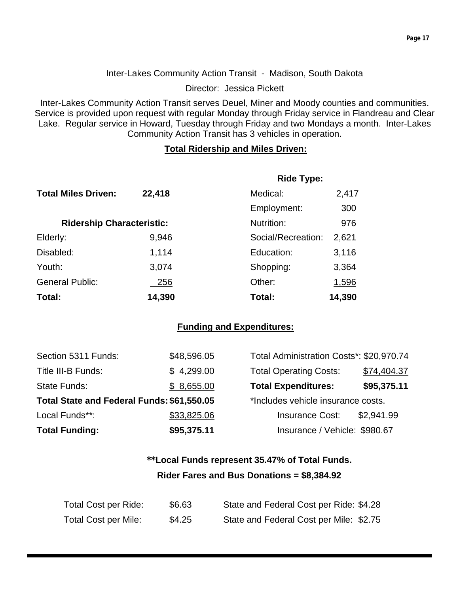Inter-Lakes Community Action Transit - Madison, South Dakota

Director: Jessica Pickett

Inter-Lakes Community Action Transit serves Deuel, Miner and Moody counties and communities. Service is provided upon request with regular Monday through Friday service in Flandreau and Clear Lake. Regular service in Howard, Tuesday through Friday and two Mondays a month. Inter-Lakes Community Action Transit has 3 vehicles in operation.

#### **Total Ridership and Miles Driven:**

|                                  |            | <b>Ride Type:</b>  |        |
|----------------------------------|------------|--------------------|--------|
| <b>Total Miles Driven:</b>       | 22,418     | Medical:           | 2,417  |
|                                  |            | Employment:        | 300    |
| <b>Ridership Characteristic:</b> |            | Nutrition:         | 976    |
| Elderly:                         | 9,946      | Social/Recreation: | 2,621  |
| Disabled:                        | 1,114      | Education:         | 3,116  |
| Youth:                           | 3,074      | Shopping:          | 3,364  |
| <b>General Public:</b>           | <u>256</u> | Other:             | 1,596  |
| Total:                           | 14,390     | Total:             | 14,390 |

#### **Funding and Expenditures:**

| Section 5311 Funds:                        | \$48,596.05 | Total Administration Costs*: \$20,970.74 |             |
|--------------------------------------------|-------------|------------------------------------------|-------------|
| Title III-B Funds:                         | \$4,299.00  | <b>Total Operating Costs:</b>            | \$74,404.37 |
| State Funds:                               | \$8,655.00  | <b>Total Expenditures:</b>               | \$95,375.11 |
| Total State and Federal Funds: \$61,550.05 |             | *Includes vehicle insurance costs.       |             |
| Local Funds**:                             | \$33,825.06 | <b>Insurance Cost:</b>                   | \$2,941.99  |
| <b>Total Funding:</b>                      | \$95,375.11 | Insurance / Vehicle: \$980.67            |             |

## **\*\*Local Funds represent 35.47% of Total Funds. Rider Fares and Bus Donations = \$8,384.92**

| Total Cost per Ride:        | \$6.63 | State and Federal Cost per Ride: \$4.28 |
|-----------------------------|--------|-----------------------------------------|
| <b>Total Cost per Mile:</b> | \$4.25 | State and Federal Cost per Mile: \$2.75 |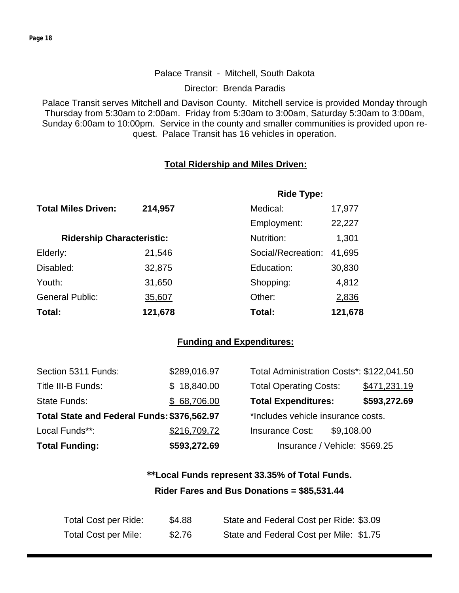#### Palace Transit - Mitchell, South Dakota

Director: Brenda Paradis

Palace Transit serves Mitchell and Davison County. Mitchell service is provided Monday through Thursday from 5:30am to 2:00am. Friday from 5:30am to 3:00am, Saturday 5:30am to 3:00am, Sunday 6:00am to 10:00pm. Service in the county and smaller communities is provided upon request. Palace Transit has 16 vehicles in operation.

#### **Total Ridership and Miles Driven:**

|                                  |         | <b>Ride Type:</b>  |         |  |
|----------------------------------|---------|--------------------|---------|--|
| <b>Total Miles Driven:</b>       | 214,957 | Medical:           | 17,977  |  |
|                                  |         | Employment:        | 22,227  |  |
| <b>Ridership Characteristic:</b> |         | Nutrition:         | 1,301   |  |
| Elderly:                         | 21,546  | Social/Recreation: | 41,695  |  |
| Disabled:                        | 32,875  | Education:         | 30,830  |  |
| Youth:                           | 31,650  | Shopping:          | 4,812   |  |
| <b>General Public:</b>           | 35,607  | Other:             | 2,836   |  |
| Total:                           | 121,678 | Total:             | 121,678 |  |

#### **Funding and Expenditures:**

| Section 5311 Funds:                         | \$289,016.97 | Total Administration Costs*: \$122,041.50 |              |
|---------------------------------------------|--------------|-------------------------------------------|--------------|
| Title III-B Funds:                          | \$18,840.00  | <b>Total Operating Costs:</b>             | \$471,231.19 |
| <b>State Funds:</b>                         | \$68,706.00  | <b>Total Expenditures:</b>                | \$593,272.69 |
| Total State and Federal Funds: \$376,562.97 |              | *Includes vehicle insurance costs.        |              |
| Local Funds**:                              | \$216,709.72 | <b>Insurance Cost:</b><br>\$9,108.00      |              |
| <b>Total Funding:</b>                       | \$593,272.69 | Insurance / Vehicle: \$569.25             |              |

## **\*\*Local Funds represent 33.35% of Total Funds. Rider Fares and Bus Donations = \$85,531.44**

| Total Cost per Ride:        | \$4.88 | State and Federal Cost per Ride: \$3.09 |
|-----------------------------|--------|-----------------------------------------|
| <b>Total Cost per Mile:</b> | \$2.76 | State and Federal Cost per Mile: \$1.75 |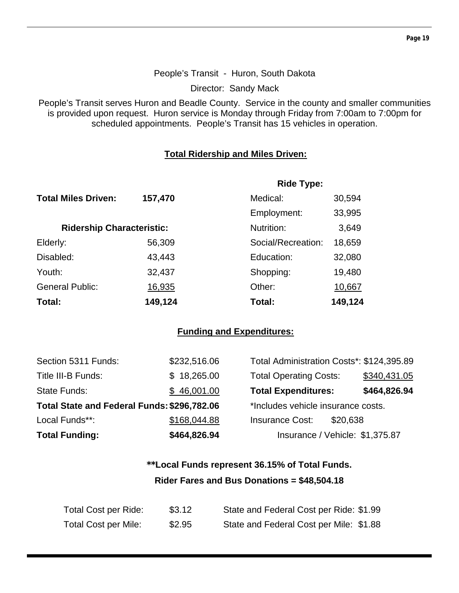#### People's Transit - Huron, South Dakota

Director: Sandy Mack

People's Transit serves Huron and Beadle County. Service in the county and smaller communities is provided upon request. Huron service is Monday through Friday from 7:00am to 7:00pm for scheduled appointments. People's Transit has 15 vehicles in operation.

#### **Total Ridership and Miles Driven:**

|                                  |         | <b>Ride Type:</b>  |         |
|----------------------------------|---------|--------------------|---------|
| <b>Total Miles Driven:</b>       | 157,470 | Medical:           | 30,594  |
|                                  |         | Employment:        | 33,995  |
| <b>Ridership Characteristic:</b> |         | Nutrition:         | 3,649   |
| Elderly:                         | 56,309  | Social/Recreation: | 18,659  |
| Disabled:                        | 43,443  | Education:         | 32,080  |
| Youth:                           | 32,437  | Shopping:          | 19,480  |
| <b>General Public:</b>           | 16,935  | Other:             | 10,667  |
| Total:                           | 149,124 | Total:             | 149,124 |

#### **Funding and Expenditures:**

| <b>Total Funding:</b>                       | \$464,826.94 | Insurance / Vehicle: \$1,375.87           |              |
|---------------------------------------------|--------------|-------------------------------------------|--------------|
| Local Funds**:                              | \$168,044.88 | <b>Insurance Cost:</b><br>\$20,638        |              |
| Total State and Federal Funds: \$296,782.06 |              | *Includes vehicle insurance costs.        |              |
| State Funds:                                | \$46,001.00  | <b>Total Expenditures:</b>                | \$464,826.94 |
| Title III-B Funds:                          | \$18,265.00  | <b>Total Operating Costs:</b>             | \$340,431.05 |
| Section 5311 Funds:                         | \$232,516.06 | Total Administration Costs*: \$124,395.89 |              |

## **\*\*Local Funds represent 36.15% of Total Funds. Rider Fares and Bus Donations = \$48,504.18**

| Total Cost per Ride: | \$3.12 | State and Federal Cost per Ride: \$1.99 |
|----------------------|--------|-----------------------------------------|
| Total Cost per Mile: | \$2.95 | State and Federal Cost per Mile: \$1.88 |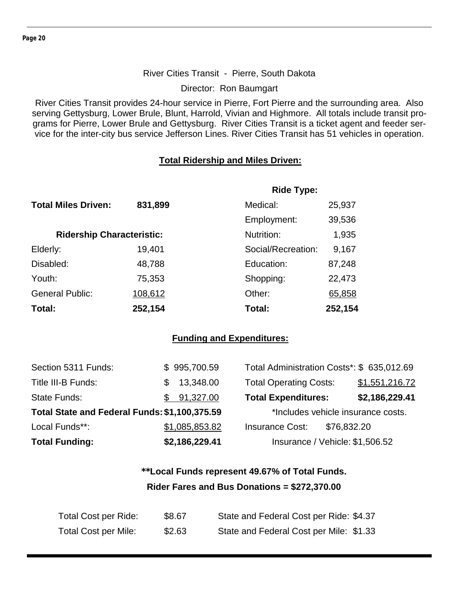#### River Cities Transit - Pierre, South Dakota

Director: Ron Baumgart

River Cities Transit provides 24-hour service in Pierre, Fort Pierre and the surrounding area. Also serving Gettysburg, Lower Brule, Blunt, Harrold, Vivian and Highmore. All totals include transit programs for Pierre, Lower Brule and Gettysburg. River Cities Transit is a ticket agent and feeder service for the inter-city bus service Jefferson Lines. River Cities Transit has 51 vehicles in operation.

#### **Total Ridership and Miles Driven:**

|                                  |         | <b>Ride Type:</b>  |         |
|----------------------------------|---------|--------------------|---------|
| <b>Total Miles Driven:</b>       | 831,899 | Medical:           | 25,937  |
|                                  |         | Employment:        | 39,536  |
| <b>Ridership Characteristic:</b> |         | Nutrition:         | 1,935   |
| Elderly:                         | 19,401  | Social/Recreation: | 9,167   |
| Disabled:                        | 48,788  | Education:         | 87,248  |
| Youth:                           | 75,353  | Shopping:          | 22,473  |
| <b>General Public:</b>           | 108,612 | Other:             | 65,858  |
| Total:                           | 252,154 | Total:             | 252,154 |

#### **Funding and Expenditures:**

| <b>Total Funding:</b>                         | \$2,186,229.41   | Insurance / Vehicle: \$1,506.52            |                |
|-----------------------------------------------|------------------|--------------------------------------------|----------------|
| Local Funds**:                                | \$1,085,853.82   | <b>Insurance Cost:</b><br>\$76,832.20      |                |
| Total State and Federal Funds: \$1,100,375.59 |                  | *Includes vehicle insurance costs.         |                |
| <b>State Funds:</b>                           | \$91,327.00      | <b>Total Expenditures:</b>                 | \$2,186,229.41 |
| Title III-B Funds:                            | 13,348.00<br>\$. | <b>Total Operating Costs:</b>              | \$1,551,216.72 |
| Section 5311 Funds:                           | \$995,700.59     | Total Administration Costs*: \$ 635,012.69 |                |

## **\*\*Local Funds represent 49.67% of Total Funds. Rider Fares and Bus Donations = \$272,370.00**

| <b>Total Cost per Ride:</b> | \$8.67 | State and Federal Cost per Ride: \$4.37 |
|-----------------------------|--------|-----------------------------------------|
| Total Cost per Mile:        | \$2.63 | State and Federal Cost per Mile: \$1.33 |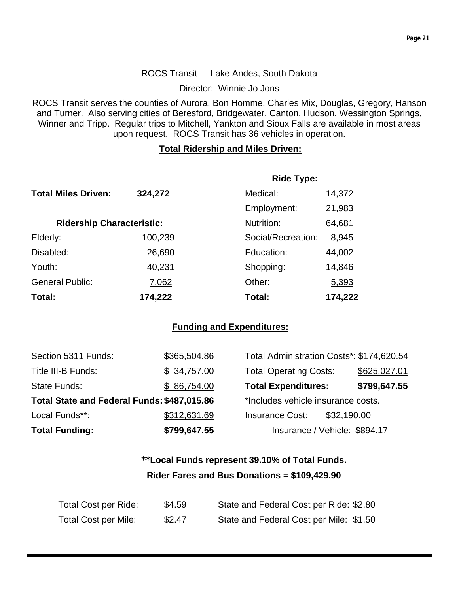#### ROCS Transit - Lake Andes, South Dakota

Director: Winnie Jo Jons

ROCS Transit serves the counties of Aurora, Bon Homme, Charles Mix, Douglas, Gregory, Hanson and Turner. Also serving cities of Beresford, Bridgewater, Canton, Hudson, Wessington Springs, Winner and Tripp. Regular trips to Mitchell, Yankton and Sioux Falls are available in most areas upon request. ROCS Transit has 36 vehicles in operation.

#### **Total Ridership and Miles Driven:**

|                                  |         | <b>Ride Type:</b>  |         |
|----------------------------------|---------|--------------------|---------|
| <b>Total Miles Driven:</b>       | 324,272 | Medical:           | 14,372  |
|                                  |         | Employment:        | 21,983  |
| <b>Ridership Characteristic:</b> |         | Nutrition:         | 64,681  |
| Elderly:                         | 100,239 | Social/Recreation: | 8,945   |
| Disabled:                        | 26,690  | Education:         | 44,002  |
| Youth:                           | 40,231  | Shopping:          | 14,846  |
| <b>General Public:</b>           | 7,062   | Other:             | 5,393   |
| Total:                           | 174,222 | Total:             | 174,222 |

#### **Funding and Expenditures:**

| Section 5311 Funds:                         | \$365,504.86 | Total Administration Costs*: \$174,620.54 |              |
|---------------------------------------------|--------------|-------------------------------------------|--------------|
| Title III-B Funds:                          | \$34,757.00  | <b>Total Operating Costs:</b>             | \$625,027.01 |
| <b>State Funds:</b>                         | \$86,754.00  | <b>Total Expenditures:</b>                | \$799,647.55 |
| Total State and Federal Funds: \$487,015.86 |              | *Includes vehicle insurance costs.        |              |
| Local Funds**:                              | \$312,631.69 | \$32,190.00<br><b>Insurance Cost:</b>     |              |
| <b>Total Funding:</b>                       | \$799,647.55 | Insurance / Vehicle: \$894.17             |              |

## **\*\*Local Funds represent 39.10% of Total Funds. Rider Fares and Bus Donations = \$109,429.90**

| <b>Total Cost per Ride:</b> | \$4.59 | State and Federal Cost per Ride: \$2.80 |
|-----------------------------|--------|-----------------------------------------|
| <b>Total Cost per Mile:</b> | \$2.47 | State and Federal Cost per Mile: \$1.50 |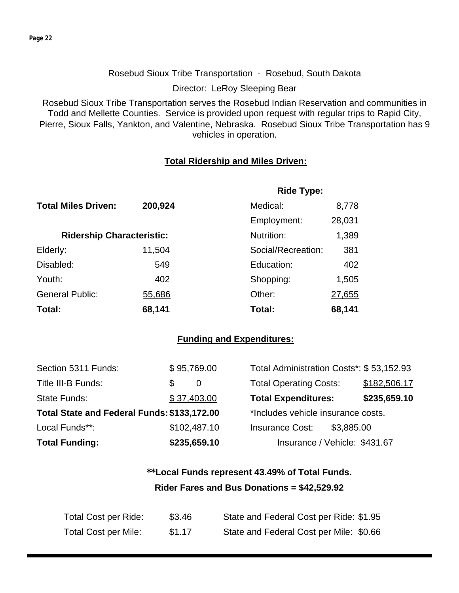#### Rosebud Sioux Tribe Transportation - Rosebud, South Dakota

Director: LeRoy Sleeping Bear

Rosebud Sioux Tribe Transportation serves the Rosebud Indian Reservation and communities in Todd and Mellette Counties. Service is provided upon request with regular trips to Rapid City, Pierre, Sioux Falls, Yankton, and Valentine, Nebraska. Rosebud Sioux Tribe Transportation has 9 vehicles in operation.

#### **Total Ridership and Miles Driven:**

|                                  |         | <b>Ride Type:</b>  |        |
|----------------------------------|---------|--------------------|--------|
| <b>Total Miles Driven:</b>       | 200,924 | Medical:           | 8,778  |
|                                  |         | Employment:        | 28,031 |
| <b>Ridership Characteristic:</b> |         | Nutrition:         | 1,389  |
| Elderly:                         | 11,504  | Social/Recreation: | 381    |
| Disabled:                        | 549     | Education:         | 402    |
| Youth:                           | 402     | Shopping:          | 1,505  |
| <b>General Public:</b>           | 55,686  | Other:             | 27,655 |
| Total:                           | 68,141  | Total:             | 68,141 |

#### **Funding and Expenditures:**

| Section 5311 Funds:                         | \$95,769.00 |              | Total Administration Costs*: \$53,152.93 |            |              |
|---------------------------------------------|-------------|--------------|------------------------------------------|------------|--------------|
| Title III-B Funds:                          | S           | 0            | <b>Total Operating Costs:</b>            |            | \$182,506.17 |
| State Funds:                                | \$37,403.00 |              | <b>Total Expenditures:</b>               |            | \$235,659.10 |
| Total State and Federal Funds: \$133,172.00 |             |              | *Includes vehicle insurance costs.       |            |              |
| Local Funds**:                              |             | \$102,487.10 | <b>Insurance Cost:</b>                   | \$3,885.00 |              |
| <b>Total Funding:</b>                       |             | \$235,659.10 | Insurance / Vehicle: \$431.67            |            |              |

## **\*\*Local Funds represent 43.49% of Total Funds. Rider Fares and Bus Donations = \$42,529.92**

| Total Cost per Ride:        | \$3.46 | State and Federal Cost per Ride: \$1.95 |
|-----------------------------|--------|-----------------------------------------|
| <b>Total Cost per Mile:</b> | \$1.17 | State and Federal Cost per Mile: \$0.66 |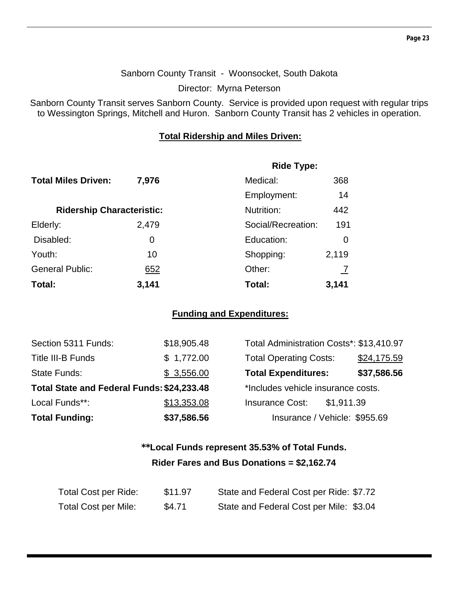#### Sanborn County Transit - Woonsocket, South Dakota

Director: Myrna Peterson

Sanborn County Transit serves Sanborn County. Service is provided upon request with regular trips to Wessington Springs, Mitchell and Huron. Sanborn County Transit has 2 vehicles in operation.

#### **Total Ridership and Miles Driven:**

|                                  |       | <b>Ride Type:</b>  |       |  |
|----------------------------------|-------|--------------------|-------|--|
| <b>Total Miles Driven:</b>       | 7,976 | Medical:           | 368   |  |
|                                  |       | Employment:        | 14    |  |
| <b>Ridership Characteristic:</b> |       | Nutrition:         | 442   |  |
| Elderly:                         | 2,479 | Social/Recreation: | 191   |  |
| Disabled:                        | 0     | Education:         | 0     |  |
| Youth:                           | 10    | Shopping:          | 2,119 |  |
| <b>General Public:</b>           | 652   | Other:             |       |  |
| Total:                           | 3,141 | Total:             | 3,141 |  |

#### **Funding and Expenditures:**

| Section 5311 Funds:                        | \$18,905.48 | Total Administration Costs*: \$13,410.97 |             |
|--------------------------------------------|-------------|------------------------------------------|-------------|
| Title III-B Funds                          | \$1,772.00  | <b>Total Operating Costs:</b>            | \$24,175.59 |
| State Funds:                               | \$3,556.00  | <b>Total Expenditures:</b>               | \$37,586.56 |
| Total State and Federal Funds: \$24,233.48 |             | *Includes vehicle insurance costs.       |             |
| Local Funds**:                             | \$13,353.08 | <b>Insurance Cost:</b><br>\$1,911.39     |             |
| <b>Total Funding:</b>                      | \$37,586.56 | Insurance / Vehicle: \$955.69            |             |

## **\*\*Local Funds represent 35.53% of Total Funds. Rider Fares and Bus Donations = \$2,162.74**

| Total Cost per Ride:        | \$11.97 | State and Federal Cost per Ride: \$7.72 |
|-----------------------------|---------|-----------------------------------------|
| <b>Total Cost per Mile:</b> | \$4.71  | State and Federal Cost per Mile: \$3.04 |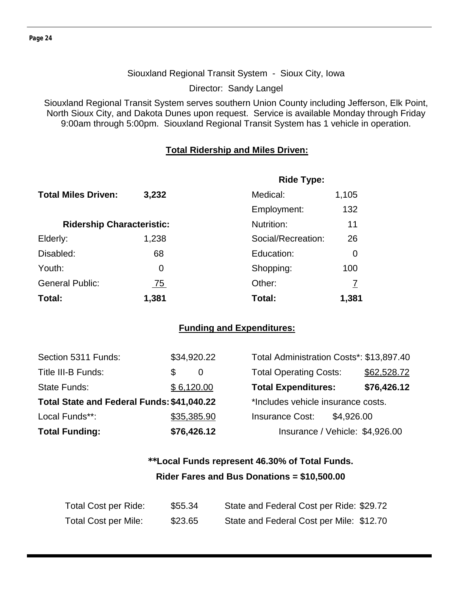#### Siouxland Regional Transit System - Sioux City, Iowa

Director: Sandy Langel

Siouxland Regional Transit System serves southern Union County including Jefferson, Elk Point, North Sioux City, and Dakota Dunes upon request. Service is available Monday through Friday 9:00am through 5:00pm. Siouxland Regional Transit System has 1 vehicle in operation.

#### **Total Ridership and Miles Driven:**

|                                  |            | <b>Ride Type:</b>  |       |
|----------------------------------|------------|--------------------|-------|
| <b>Total Miles Driven:</b>       | 3,232      | Medical:           | 1,105 |
|                                  |            | Employment:        | 132   |
| <b>Ridership Characteristic:</b> |            | Nutrition:         | 11    |
| Elderly:                         | 1,238      | Social/Recreation: | 26    |
| Disabled:                        | 68         | Education:         | 0     |
| Youth:                           | 0          | Shopping:          | 100   |
| <b>General Public:</b>           | <u>75 </u> | Other:             |       |
| Total:                           | 1,381      | Total:             | 1,381 |

#### **Funding and Expenditures:**

| Section 5311 Funds:                        | \$34,920.22 | Total Administration Costs*: \$13,897.40 |             |
|--------------------------------------------|-------------|------------------------------------------|-------------|
| Title III-B Funds:                         | S<br>0      | <b>Total Operating Costs:</b>            | \$62,528.72 |
| State Funds:                               | \$6,120.00  | <b>Total Expenditures:</b>               | \$76,426.12 |
| Total State and Federal Funds: \$41,040.22 |             | *Includes vehicle insurance costs.       |             |
| Local Funds**:                             | \$35,385.90 | <b>Insurance Cost:</b><br>\$4,926.00     |             |
| <b>Total Funding:</b>                      | \$76,426.12 | Insurance / Vehicle: \$4,926.00          |             |

## **\*\*Local Funds represent 46.30% of Total Funds. Rider Fares and Bus Donations = \$10,500.00**

| <b>Total Cost per Ride:</b> | \$55.34 | State and Federal Cost per Ride: \$29.72 |
|-----------------------------|---------|------------------------------------------|
| Total Cost per Mile:        | \$23.65 | State and Federal Cost per Mile: \$12.70 |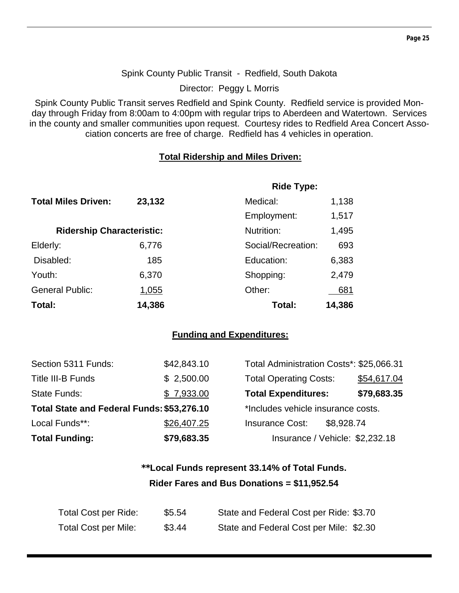#### Spink County Public Transit - Redfield, South Dakota

Director: Peggy L Morris

Spink County Public Transit serves Redfield and Spink County. Redfield service is provided Monday through Friday from 8:00am to 4:00pm with regular trips to Aberdeen and Watertown. Services in the county and smaller communities upon request. Courtesy rides to Redfield Area Concert Association concerts are free of charge. Redfield has 4 vehicles in operation.

#### **Total Ridership and Miles Driven:**

|                                  |              | <b>Ride Type:</b>  |        |
|----------------------------------|--------------|--------------------|--------|
| <b>Total Miles Driven:</b>       | 23,132       | Medical:           | 1,138  |
|                                  |              | Employment:        | 1,517  |
| <b>Ridership Characteristic:</b> |              | Nutrition:         | 1,495  |
| Elderly:                         | 6,776        | Social/Recreation: | 693    |
| Disabled:                        | 185          | Education:         | 6,383  |
| Youth:                           | 6,370        | Shopping:          | 2,479  |
| <b>General Public:</b>           | <u>1,055</u> | Other:             | 681    |
| Total:                           | 14,386       | Total:             | 14,386 |

#### **Funding and Expenditures:**

| Section 5311 Funds:                        | \$42,843.10 | Total Administration Costs*: \$25,066.31 |             |
|--------------------------------------------|-------------|------------------------------------------|-------------|
| Title III-B Funds                          | \$2,500.00  | <b>Total Operating Costs:</b>            | \$54,617.04 |
| <b>State Funds:</b>                        | \$7,933.00  | <b>Total Expenditures:</b>               | \$79,683.35 |
| Total State and Federal Funds: \$53,276.10 |             | *Includes vehicle insurance costs.       |             |
| Local Funds**:                             | \$26,407.25 | <b>Insurance Cost:</b><br>\$8,928.74     |             |
| <b>Total Funding:</b>                      | \$79,683.35 | Insurance / Vehicle: \$2,232.18          |             |

## **\*\*Local Funds represent 33.14% of Total Funds. Rider Fares and Bus Donations = \$11,952.54**

| Total Cost per Ride:        | \$5.54 | State and Federal Cost per Ride: \$3.70 |
|-----------------------------|--------|-----------------------------------------|
| <b>Total Cost per Mile:</b> | \$3.44 | State and Federal Cost per Mile: \$2.30 |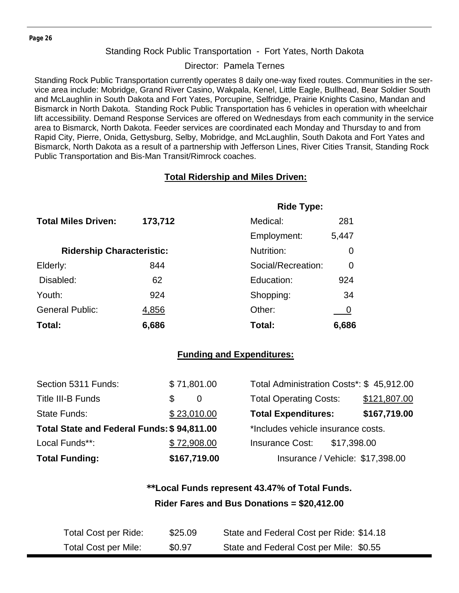#### Standing Rock Public Transportation - Fort Yates, North Dakota

Director: Pamela Ternes

Standing Rock Public Transportation currently operates 8 daily one-way fixed routes. Communities in the service area include: Mobridge, Grand River Casino, Wakpala, Kenel, Little Eagle, Bullhead, Bear Soldier South and McLaughlin in South Dakota and Fort Yates, Porcupine, Selfridge, Prairie Knights Casino, Mandan and Bismarck in North Dakota. Standing Rock Public Transportation has 6 vehicles in operation with wheelchair lift accessibility. Demand Response Services are offered on Wednesdays from each community in the service area to Bismarck, North Dakota. Feeder services are coordinated each Monday and Thursday to and from Rapid City, Pierre, Onida, Gettysburg, Selby, Mobridge, and McLaughlin, South Dakota and Fort Yates and Bismarck, North Dakota as a result of a partnership with Jefferson Lines, River Cities Transit, Standing Rock Public Transportation and Bis-Man Transit/Rimrock coaches.

#### **Total Ridership and Miles Driven:**

|                                  |         | <b>Ride Type:</b>  |       |
|----------------------------------|---------|--------------------|-------|
| <b>Total Miles Driven:</b>       | 173,712 | Medical:           | 281   |
|                                  |         | Employment:        | 5,447 |
| <b>Ridership Characteristic:</b> |         | Nutrition:         | 0     |
| Elderly:                         | 844     | Social/Recreation: | 0     |
| Disabled:                        | 62      | Education:         | 924   |
| Youth:                           | 924     | Shopping:          | 34    |
| <b>General Public:</b>           | 4,856   | Other:             |       |
| Total:                           | 6,686   | Total:             | 6,686 |

#### **Funding and Expenditures:**

| Section 5311 Funds:                        | \$71,801.00 |              | Total Administration Costs*: \$45,912.00 |             |              |
|--------------------------------------------|-------------|--------------|------------------------------------------|-------------|--------------|
| Title III-B Funds                          | \$          | 0            | <b>Total Operating Costs:</b>            |             | \$121,807.00 |
| State Funds:                               | \$23,010.00 |              | <b>Total Expenditures:</b>               |             | \$167,719.00 |
| Total State and Federal Funds: \$94,811.00 |             |              | *Includes vehicle insurance costs.       |             |              |
| Local Funds**:                             | \$72,908.00 |              | <b>Insurance Cost:</b>                   | \$17,398.00 |              |
| <b>Total Funding:</b>                      |             | \$167,719.00 | Insurance / Vehicle: \$17,398.00         |             |              |

## **\*\*Local Funds represent 43.47% of Total Funds. Rider Fares and Bus Donations = \$20,412.00**

| Total Cost per Ride: | \$25.09 | State and Federal Cost per Ride: \$14.18 |
|----------------------|---------|------------------------------------------|
| Total Cost per Mile: | \$0.97  | State and Federal Cost per Mile: \$0.55  |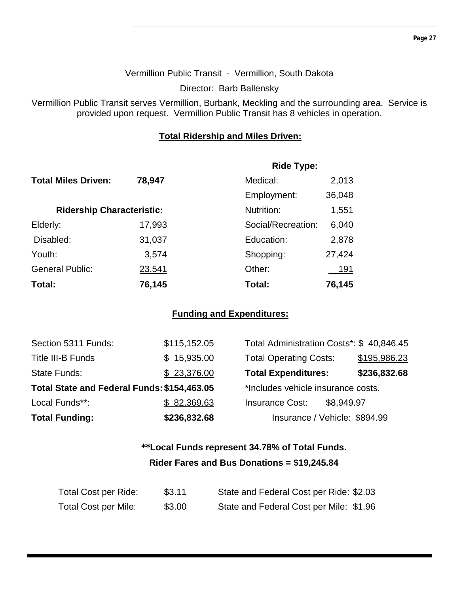#### Vermillion Public Transit - Vermillion, South Dakota

Director: Barb Ballensky

Vermillion Public Transit serves Vermillion, Burbank, Meckling and the surrounding area. Service is provided upon request. Vermillion Public Transit has 8 vehicles in operation.

#### **Total Ridership and Miles Driven:**

|                                  |        | <b>Ride Type:</b>  |        |
|----------------------------------|--------|--------------------|--------|
| <b>Total Miles Driven:</b>       | 78,947 | Medical:           | 2,013  |
|                                  |        | Employment:        | 36,048 |
| <b>Ridership Characteristic:</b> |        | Nutrition:         | 1,551  |
| Elderly:                         | 17,993 | Social/Recreation: | 6,040  |
| Disabled:                        | 31,037 | Education:         | 2,878  |
| Youth:                           | 3,574  | Shopping:          | 27,424 |
| <b>General Public:</b>           | 23,541 | Other:             | 191    |
| Total:                           | 76,145 | Total:             | 76,145 |

#### **Funding and Expenditures:**

| Section 5311 Funds:                         | \$115,152.05 | Total Administration Costs*: \$40,846.45 |              |
|---------------------------------------------|--------------|------------------------------------------|--------------|
| <b>Title III-B Funds</b>                    | \$15,935.00  | <b>Total Operating Costs:</b>            | \$195,986.23 |
| <b>State Funds:</b>                         | \$23,376.00  | <b>Total Expenditures:</b>               | \$236,832.68 |
| Total State and Federal Funds: \$154,463.05 |              | *Includes vehicle insurance costs.       |              |
| Local Funds**:                              | \$82,369.63  | <b>Insurance Cost:</b><br>\$8,949.97     |              |
| <b>Total Funding:</b>                       | \$236,832.68 | Insurance / Vehicle: \$894.99            |              |

## **\*\*Local Funds represent 34.78% of Total Funds. Rider Fares and Bus Donations = \$19,245.84**

| Total Cost per Ride:        | \$3.11 | State and Federal Cost per Ride: \$2.03 |
|-----------------------------|--------|-----------------------------------------|
| <b>Total Cost per Mile:</b> | \$3.00 | State and Federal Cost per Mile: \$1.96 |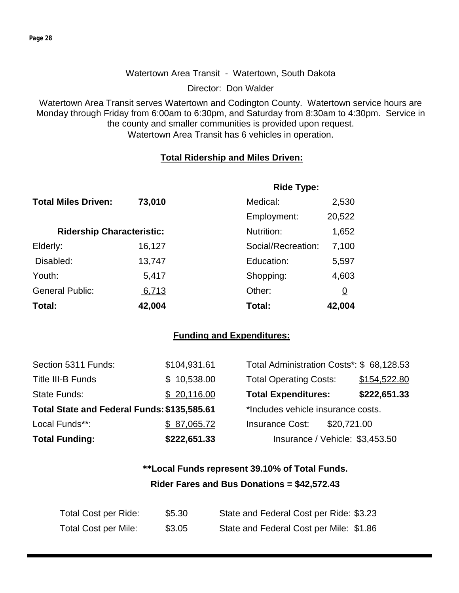#### Watertown Area Transit - Watertown, South Dakota

Director: Don Walder

Watertown Area Transit serves Watertown and Codington County. Watertown service hours are Monday through Friday from 6:00am to 6:30pm, and Saturday from 8:30am to 4:30pm. Service in the county and smaller communities is provided upon request. Watertown Area Transit has 6 vehicles in operation.

#### **Total Ridership and Miles Driven:**

|                                  |        | <b>Ride Type:</b>  |                |
|----------------------------------|--------|--------------------|----------------|
| <b>Total Miles Driven:</b>       | 73,010 | Medical:           | 2,530          |
|                                  |        | Employment:        | 20,522         |
| <b>Ridership Characteristic:</b> |        | Nutrition:         | 1,652          |
| Elderly:                         | 16,127 | Social/Recreation: | 7,100          |
| Disabled:                        | 13,747 | Education:         | 5,597          |
| Youth:                           | 5,417  | Shopping:          | 4,603          |
| <b>General Public:</b>           | 6,713  | Other:             | $\overline{0}$ |
| Total:                           | 42,004 | Total:             | 42,004         |

#### **Funding and Expenditures:**

| <b>Total Funding:</b>                       | \$222,651.33 | Insurance / Vehicle: \$3,453.50           |              |
|---------------------------------------------|--------------|-------------------------------------------|--------------|
| Local Funds**:                              | \$87,065.72  | <b>Insurance Cost:</b><br>\$20,721.00     |              |
| Total State and Federal Funds: \$135,585.61 |              | *Includes vehicle insurance costs.        |              |
| <b>State Funds:</b>                         | \$20,116.00  | <b>Total Expenditures:</b>                | \$222,651.33 |
| Title III-B Funds                           | \$10,538.00  | <b>Total Operating Costs:</b>             | \$154,522.80 |
| Section 5311 Funds:                         | \$104,931.61 | Total Administration Costs*: \$ 68,128.53 |              |

## **\*\*Local Funds represent 39.10% of Total Funds. Rider Fares and Bus Donations = \$42,572.43**

| Total Cost per Ride:        | \$5.30 | State and Federal Cost per Ride: \$3.23 |
|-----------------------------|--------|-----------------------------------------|
| <b>Total Cost per Mile:</b> | \$3.05 | State and Federal Cost per Mile: \$1.86 |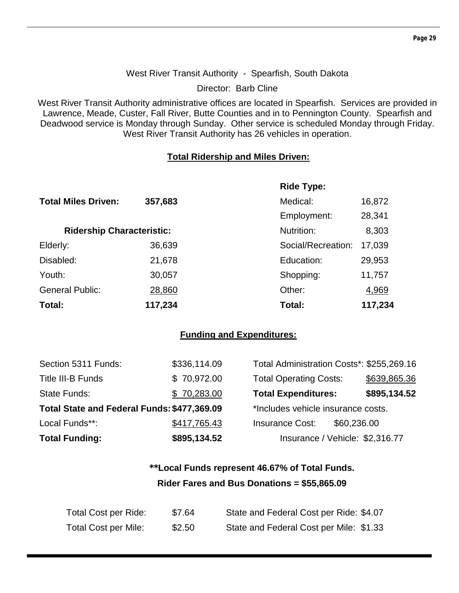#### West River Transit Authority - Spearfish, South Dakota

Director: Barb Cline

West River Transit Authority administrative offices are located in Spearfish. Services are provided in Lawrence, Meade, Custer, Fall River, Butte Counties and in to Pennington County. Spearfish and Deadwood service is Monday through Sunday. Other service is scheduled Monday through Friday. West River Transit Authority has 26 vehicles in operation.

#### **Total Ridership and Miles Driven:**

|                                  |         | <b>Ride Type:</b>  |         |
|----------------------------------|---------|--------------------|---------|
| <b>Total Miles Driven:</b>       | 357,683 | Medical:           | 16,872  |
|                                  |         | Employment:        | 28,341  |
| <b>Ridership Characteristic:</b> |         | Nutrition:         | 8,303   |
| Elderly:                         | 36,639  | Social/Recreation: | 17,039  |
| Disabled:                        | 21,678  | Education:         | 29,953  |
| Youth:                           | 30,057  | Shopping:          | 11,757  |
| <b>General Public:</b>           | 28,860  | Other:             | 4,969   |
| Total:                           | 117,234 | Total:             | 117,234 |

#### **Funding and Expenditures:**

| <b>Total Funding:</b>                       | \$895,134.52 | Insurance / Vehicle: \$2,316.77           |              |
|---------------------------------------------|--------------|-------------------------------------------|--------------|
| Local Funds**:                              | \$417,765.43 | \$60,236.00<br><b>Insurance Cost:</b>     |              |
| Total State and Federal Funds: \$477,369.09 |              | *Includes vehicle insurance costs.        |              |
| State Funds:                                | \$70,283.00  | <b>Total Expenditures:</b>                | \$895,134.52 |
| Title III-B Funds                           | \$70,972.00  | <b>Total Operating Costs:</b>             | \$639,865.36 |
| Section 5311 Funds:                         | \$336,114.09 | Total Administration Costs*: \$255,269.16 |              |

## **\*\*Local Funds represent 46.67% of Total Funds. Rider Fares and Bus Donations = \$55,865.09**

| Total Cost per Ride: | \$7.64 | State and Federal Cost per Ride: \$4.07 |
|----------------------|--------|-----------------------------------------|
| Total Cost per Mile: | \$2.50 | State and Federal Cost per Mile: \$1.33 |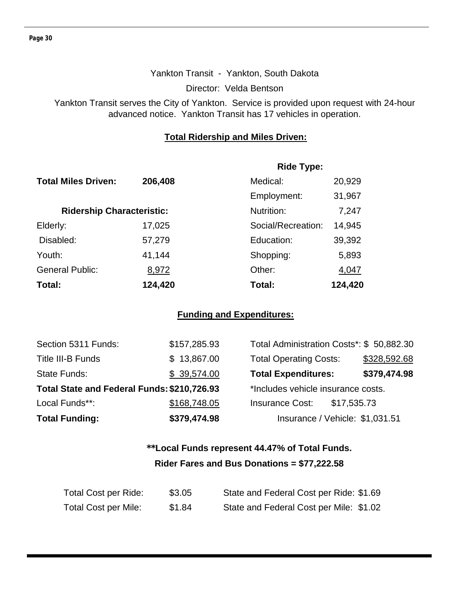#### Yankton Transit - Yankton, South Dakota

Director: Velda Bentson

Yankton Transit serves the City of Yankton. Service is provided upon request with 24-hour advanced notice. Yankton Transit has 17 vehicles in operation.

#### **Total Ridership and Miles Driven:**

|                                  |         | <b>Ride Type:</b>  |         |  |
|----------------------------------|---------|--------------------|---------|--|
| <b>Total Miles Driven:</b>       | 206,408 | Medical:           | 20,929  |  |
|                                  |         | Employment:        | 31,967  |  |
| <b>Ridership Characteristic:</b> |         | Nutrition:         | 7,247   |  |
| Elderly:                         | 17,025  | Social/Recreation: | 14,945  |  |
| Disabled:                        | 57,279  | Education:         | 39,392  |  |
| Youth:                           | 41,144  | Shopping:          | 5,893   |  |
| <b>General Public:</b>           | 8,972   | Other:             | 4,047   |  |
| Total:                           | 124,420 | Total:             | 124,420 |  |

#### **Funding and Expenditures:**

| Section 5311 Funds:                         | \$157,285.93 | Total Administration Costs*: \$ 50,882.30 |              |
|---------------------------------------------|--------------|-------------------------------------------|--------------|
| <b>Title III-B Funds</b>                    | \$13,867.00  | <b>Total Operating Costs:</b>             | \$328,592.68 |
| <b>State Funds:</b>                         | \$39,574.00  | <b>Total Expenditures:</b>                | \$379,474.98 |
| Total State and Federal Funds: \$210,726.93 |              | *Includes vehicle insurance costs.        |              |
| Local Funds**:                              | \$168,748.05 | <b>Insurance Cost:</b><br>\$17,535.73     |              |
| <b>Total Funding:</b>                       | \$379,474.98 | Insurance / Vehicle: \$1,031.51           |              |

## **\*\*Local Funds represent 44.47% of Total Funds. Rider Fares and Bus Donations = \$77,222.58**

| Total Cost per Ride: | \$3.05 | State and Federal Cost per Ride: \$1.69 |
|----------------------|--------|-----------------------------------------|
| Total Cost per Mile: | \$1.84 | State and Federal Cost per Mile: \$1.02 |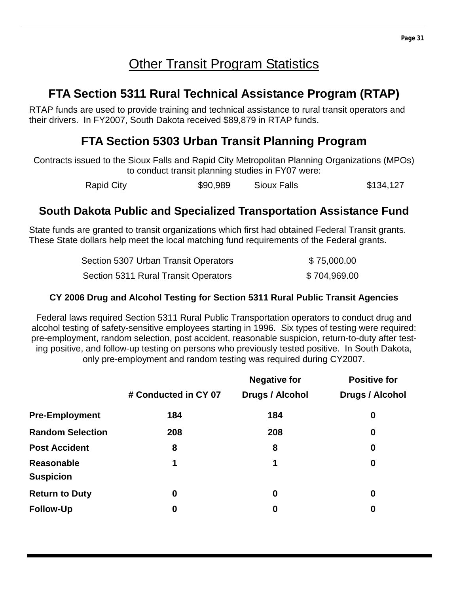## **Other Transit Program Statistics**

## **FTA Section 5311 Rural Technical Assistance Program (RTAP)**

RTAP funds are used to provide training and technical assistance to rural transit operators and their drivers. In FY2007, South Dakota received \$89,879 in RTAP funds.

## **FTA Section 5303 Urban Transit Planning Program**

Contracts issued to the Sioux Falls and Rapid City Metropolitan Planning Organizations (MPOs) to conduct transit planning studies in FY07 were:

Rapid City **\$90,989** Sioux Falls \$134,127

## **South Dakota Public and Specialized Transportation Assistance Fund**

State funds are granted to transit organizations which first had obtained Federal Transit grants. These State dollars help meet the local matching fund requirements of the Federal grants.

| Section 5307 Urban Transit Operators | \$75,000.00  |
|--------------------------------------|--------------|
| Section 5311 Rural Transit Operators | \$704,969.00 |

#### **CY 2006 Drug and Alcohol Testing for Section 5311 Rural Public Transit Agencies**

Federal laws required Section 5311 Rural Public Transportation operators to conduct drug and alcohol testing of safety-sensitive employees starting in 1996. Six types of testing were required: pre-employment, random selection, post accident, reasonable suspicion, return-to-duty after testing positive, and follow-up testing on persons who previously tested positive. In South Dakota, only pre-employment and random testing was required during CY2007.

|                                       |                      | <b>Negative for</b> | <b>Positive for</b>    |
|---------------------------------------|----------------------|---------------------|------------------------|
|                                       | # Conducted in CY 07 | Drugs / Alcohol     | <b>Drugs / Alcohol</b> |
| <b>Pre-Employment</b>                 | 184                  | 184                 | $\bf{0}$               |
| <b>Random Selection</b>               | 208                  | 208                 | $\boldsymbol{0}$       |
| <b>Post Accident</b>                  | 8                    | 8                   | $\boldsymbol{0}$       |
| <b>Reasonable</b><br><b>Suspicion</b> | 1                    | 1                   | $\boldsymbol{0}$       |
| <b>Return to Duty</b>                 | $\boldsymbol{0}$     | 0                   | $\boldsymbol{0}$       |
| <b>Follow-Up</b>                      | $\boldsymbol{0}$     | 0                   | $\bf{0}$               |